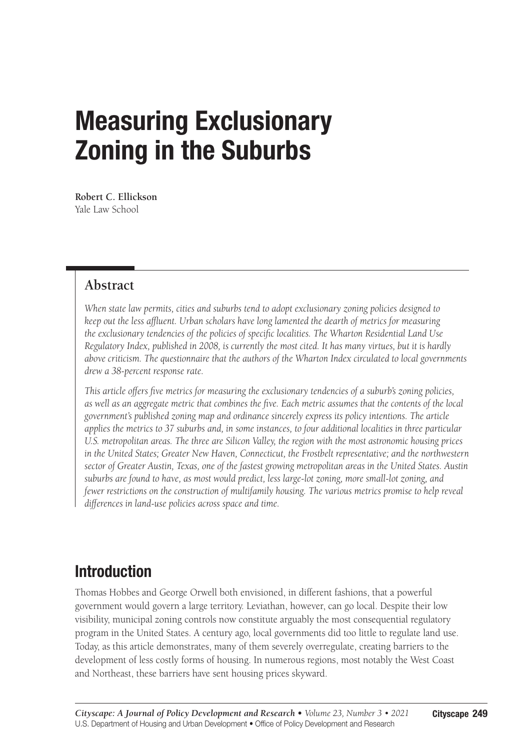# Measuring Exclusionary Zoning in the Suburbs

**Robert C. Ellickson** Yale Law School

### **Abstract**

*When state law permits, cities and suburbs tend to adopt exclusionary zoning policies designed to keep out the less affluent. Urban scholars have long lamented the dearth of metrics for measuring the exclusionary tendencies of the policies of specific localities. The Wharton Residential Land Use Regulatory Index, published in 2008, is currently the most cited. It has many virtues, but it is hardly above criticism. The questionnaire that the authors of the Wharton Index circulated to local governments drew a 38-percent response rate.*

*This article offers five metrics for measuring the exclusionary tendencies of a suburb's zoning policies, as well as an aggregate metric that combines the five. Each metric assumes that the contents of the local government's published zoning map and ordinance sincerely express its policy intentions. The article applies the metrics to 37 suburbs and, in some instances, to four additional localities in three particular U.S. metropolitan areas. The three are Silicon Valley, the region with the most astronomic housing prices in the United States; Greater New Haven, Connecticut, the Frostbelt representative; and the northwestern sector of Greater Austin, Texas, one of the fastest growing metropolitan areas in the United States. Austin suburbs are found to have, as most would predict, less large-lot zoning, more small-lot zoning, and fewer restrictions on the construction of multifamily housing. The various metrics promise to help reveal differences in land-use policies across space and time.*

# Introduction

Thomas Hobbes and George Orwell both envisioned, in different fashions, that a powerful government would govern a large territory. Leviathan, however, can go local. Despite their low visibility, municipal zoning controls now constitute arguably the most consequential regulatory program in the United States. A century ago, local governments did too little to regulate land use. Today, as this article demonstrates, many of them severely overregulate, creating barriers to the development of less costly forms of housing. In numerous regions, most notably the West Coast and Northeast, these barriers have sent housing prices skyward.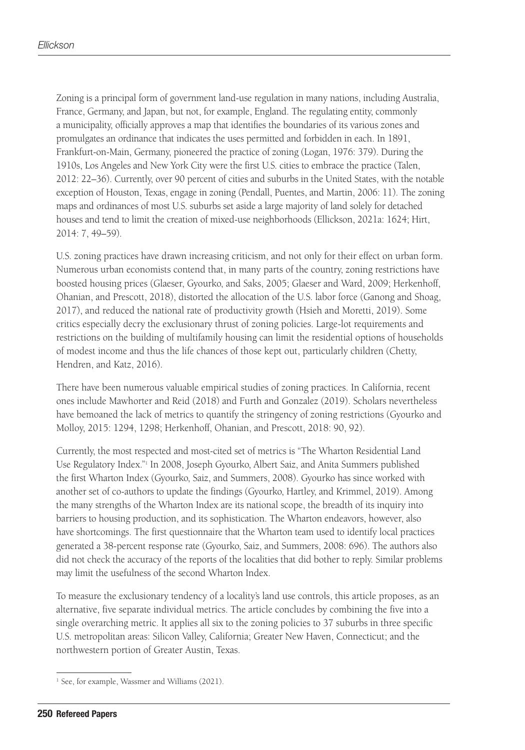Zoning is a principal form of government land-use regulation in many nations, including Australia, France, Germany, and Japan, but not, for example, England. The regulating entity, commonly a municipality, officially approves a map that identifies the boundaries of its various zones and promulgates an ordinance that indicates the uses permitted and forbidden in each. In 1891, Frankfurt-on-Main, Germany, pioneered the practice of zoning (Logan, 1976: 379). During the 1910s, Los Angeles and New York City were the first U.S. cities to embrace the practice (Talen, 2012: 22–36). Currently, over 90 percent of cities and suburbs in the United States, with the notable exception of Houston, Texas, engage in zoning (Pendall, Puentes, and Martin, 2006: 11). The zoning maps and ordinances of most U.S. suburbs set aside a large majority of land solely for detached houses and tend to limit the creation of mixed-use neighborhoods (Ellickson, 2021a: 1624; Hirt, 2014: 7, 49–59).

U.S. zoning practices have drawn increasing criticism, and not only for their effect on urban form. Numerous urban economists contend that, in many parts of the country, zoning restrictions have boosted housing prices (Glaeser, Gyourko, and Saks, 2005; Glaeser and Ward, 2009; Herkenhoff, Ohanian, and Prescott, 2018), distorted the allocation of the U.S. labor force (Ganong and Shoag, 2017), and reduced the national rate of productivity growth (Hsieh and Moretti, 2019). Some critics especially decry the exclusionary thrust of zoning policies. Large-lot requirements and restrictions on the building of multifamily housing can limit the residential options of households of modest income and thus the life chances of those kept out, particularly children (Chetty, Hendren, and Katz, 2016).

There have been numerous valuable empirical studies of zoning practices. In California, recent ones include Mawhorter and Reid (2018) and Furth and Gonzalez (2019). Scholars nevertheless have bemoaned the lack of metrics to quantify the stringency of zoning restrictions (Gyourko and Molloy, 2015: 1294, 1298; Herkenhoff, Ohanian, and Prescott, 2018: 90, 92).

Currently, the most respected and most-cited set of metrics is "The Wharton Residential Land Use Regulatory Index."1 In 2008, Joseph Gyourko, Albert Saiz, and Anita Summers published the first Wharton Index (Gyourko, Saiz, and Summers, 2008). Gyourko has since worked with another set of co-authors to update the findings (Gyourko, Hartley, and Krimmel, 2019). Among the many strengths of the Wharton Index are its national scope, the breadth of its inquiry into barriers to housing production, and its sophistication. The Wharton endeavors, however, also have shortcomings. The first questionnaire that the Wharton team used to identify local practices generated a 38-percent response rate (Gyourko, Saiz, and Summers, 2008: 696). The authors also did not check the accuracy of the reports of the localities that did bother to reply. Similar problems may limit the usefulness of the second Wharton Index.

To measure the exclusionary tendency of a locality's land use controls, this article proposes, as an alternative, five separate individual metrics. The article concludes by combining the five into a single overarching metric. It applies all six to the zoning policies to 37 suburbs in three specific U.S. metropolitan areas: Silicon Valley, California; Greater New Haven, Connecticut; and the northwestern portion of Greater Austin, Texas.

<sup>&</sup>lt;sup>1</sup> See, for example, Wassmer and Williams (2021).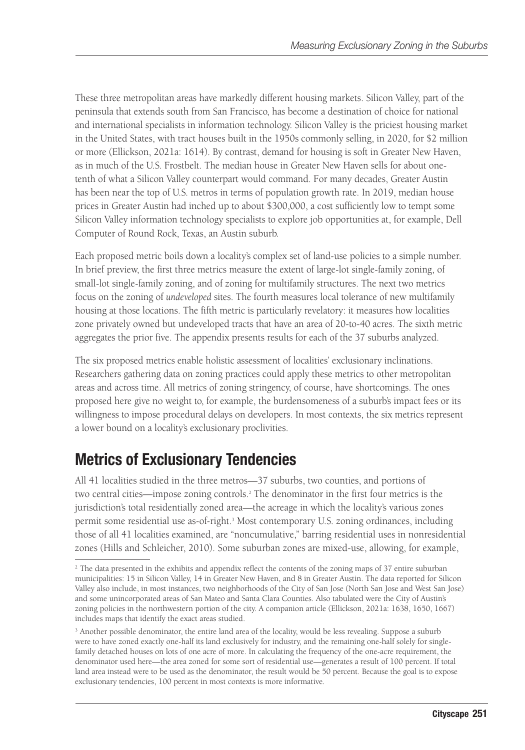These three metropolitan areas have markedly different housing markets. Silicon Valley, part of the peninsula that extends south from San Francisco, has become a destination of choice for national and international specialists in information technology. Silicon Valley is the priciest housing market in the United States, with tract houses built in the 1950s commonly selling, in 2020, for \$2 million or more (Ellickson, 2021a: 1614). By contrast, demand for housing is soft in Greater New Haven, as in much of the U.S. Frostbelt. The median house in Greater New Haven sells for about onetenth of what a Silicon Valley counterpart would command. For many decades, Greater Austin has been near the top of U.S. metros in terms of population growth rate. In 2019, median house prices in Greater Austin had inched up to about \$300,000, a cost sufficiently low to tempt some Silicon Valley information technology specialists to explore job opportunities at, for example, Dell Computer of Round Rock, Texas, an Austin suburb.

Each proposed metric boils down a locality's complex set of land-use policies to a simple number. In brief preview, the first three metrics measure the extent of large-lot single-family zoning, of small-lot single-family zoning, and of zoning for multifamily structures. The next two metrics focus on the zoning of *undeveloped* sites. The fourth measures local tolerance of new multifamily housing at those locations. The fifth metric is particularly revelatory: it measures how localities zone privately owned but undeveloped tracts that have an area of 20-to-40 acres. The sixth metric aggregates the prior five. The appendix presents results for each of the 37 suburbs analyzed.

The six proposed metrics enable holistic assessment of localities' exclusionary inclinations. Researchers gathering data on zoning practices could apply these metrics to other metropolitan areas and across time. All metrics of zoning stringency, of course, have shortcomings. The ones proposed here give no weight to, for example, the burdensomeness of a suburb's impact fees or its willingness to impose procedural delays on developers. In most contexts, the six metrics represent a lower bound on a locality's exclusionary proclivities.

# Metrics of Exclusionary Tendencies

All 41 localities studied in the three metros—37 suburbs, two counties, and portions of two central cities—impose zoning controls.2 The denominator in the first four metrics is the jurisdiction's total residentially zoned area—the acreage in which the locality's various zones permit some residential use as-of-right.<sup>3</sup> Most contemporary U.S. zoning ordinances, including those of all 41 localities examined, are "noncumulative," barring residential uses in nonresidential zones (Hills and Schleicher, 2010). Some suburban zones are mixed-use, allowing, for example,

<sup>&</sup>lt;sup>2</sup> The data presented in the exhibits and appendix reflect the contents of the zoning maps of 37 entire suburban municipalities: 15 in Silicon Valley, 14 in Greater New Haven, and 8 in Greater Austin. The data reported for Silicon Valley also include, in most instances, two neighborhoods of the City of San Jose (North San Jose and West San Jose) and some unincorporated areas of San Mateo and Santa Clara Counties. Also tabulated were the City of Austin's zoning policies in the northwestern portion of the city. A companion article (Ellickson, 2021a: 1638, 1650, 1667) includes maps that identify the exact areas studied.

<sup>&</sup>lt;sup>3</sup> Another possible denominator, the entire land area of the locality, would be less revealing. Suppose a suburb were to have zoned exactly one-half its land exclusively for industry, and the remaining one-half solely for singlefamily detached houses on lots of one acre of more. In calculating the frequency of the one-acre requirement, the denominator used here—the area zoned for some sort of residential use—generates a result of 100 percent. If total land area instead were to be used as the denominator, the result would be 50 percent. Because the goal is to expose exclusionary tendencies, 100 percent in most contexts is more informative.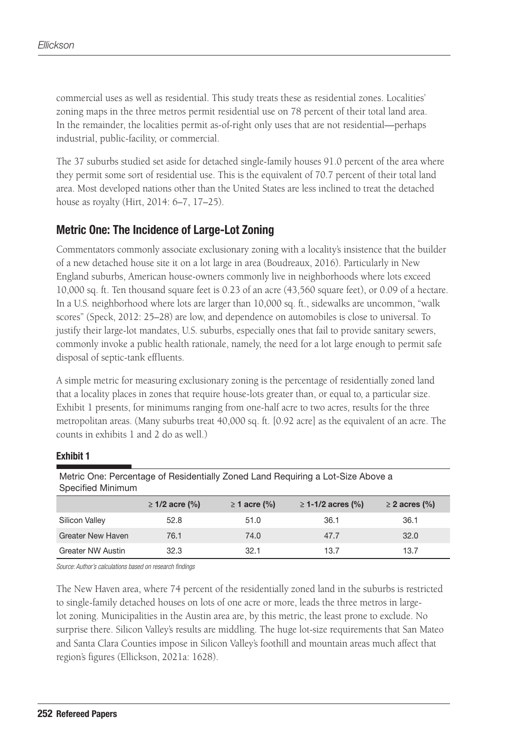commercial uses as well as residential. This study treats these as residential zones. Localities' zoning maps in the three metros permit residential use on 78 percent of their total land area. In the remainder, the localities permit as-of-right only uses that are not residential—perhaps industrial, public-facility, or commercial.

The 37 suburbs studied set aside for detached single-family houses 91.0 percent of the area where they permit some sort of residential use. This is the equivalent of 70.7 percent of their total land area. Most developed nations other than the United States are less inclined to treat the detached house as royalty (Hirt, 2014: 6–7, 17–25).

### Metric One: The Incidence of Large-Lot Zoning

Commentators commonly associate exclusionary zoning with a locality's insistence that the builder of a new detached house site it on a lot large in area (Boudreaux, 2016). Particularly in New England suburbs, American house-owners commonly live in neighborhoods where lots exceed 10,000 sq. ft. Ten thousand square feet is 0.23 of an acre (43,560 square feet), or 0.09 of a hectare. In a U.S. neighborhood where lots are larger than 10,000 sq. ft., sidewalks are uncommon, "walk scores" (Speck, 2012: 25–28) are low, and dependence on automobiles is close to universal. To justify their large-lot mandates, U.S. suburbs, especially ones that fail to provide sanitary sewers, commonly invoke a public health rationale, namely, the need for a lot large enough to permit safe disposal of septic-tank effluents.

A simple metric for measuring exclusionary zoning is the percentage of residentially zoned land that a locality places in zones that require house-lots greater than, or equal to, a particular size. Exhibit 1 presents, for minimums ranging from one-half acre to two acres, results for the three metropolitan areas. (Many suburbs treat 40,000 sq. ft. [0.92 acre] as the equivalent of an acre. The counts in exhibits 1 and 2 do as well.)

#### Exhibit 1

| modile One. I creditage or healdermany zoned Early heganing a Lot Olze hourd a<br>Specified Minimum |                  |                   |                     |                    |  |  |
|-----------------------------------------------------------------------------------------------------|------------------|-------------------|---------------------|--------------------|--|--|
|                                                                                                     | ≥ 1/2 acre $(%)$ | $\geq$ 1 acre (%) | $≥ 1-1/2$ acres (%) | $\geq$ 2 acres (%) |  |  |
| Silicon Valley                                                                                      | 52.8             | 51.0              | 36.1                | 36.1               |  |  |
| <b>Greater New Haven</b>                                                                            | 76.1             | 74.0              | 47.7                | 32.0               |  |  |
| Greater NW Austin                                                                                   | 32.3             | 32.1              | 13.7                | 13.7               |  |  |

Metric One: Percentage of Residentially Zoned Land Requiring a Lot-Size Above a

*Source: Author's calculations based on research findings*

The New Haven area, where 74 percent of the residentially zoned land in the suburbs is restricted to single-family detached houses on lots of one acre or more, leads the three metros in largelot zoning. Municipalities in the Austin area are, by this metric, the least prone to exclude. No surprise there. Silicon Valley's results are middling. The huge lot-size requirements that San Mateo and Santa Clara Counties impose in Silicon Valley's foothill and mountain areas much affect that region's figures (Ellickson, 2021a: 1628).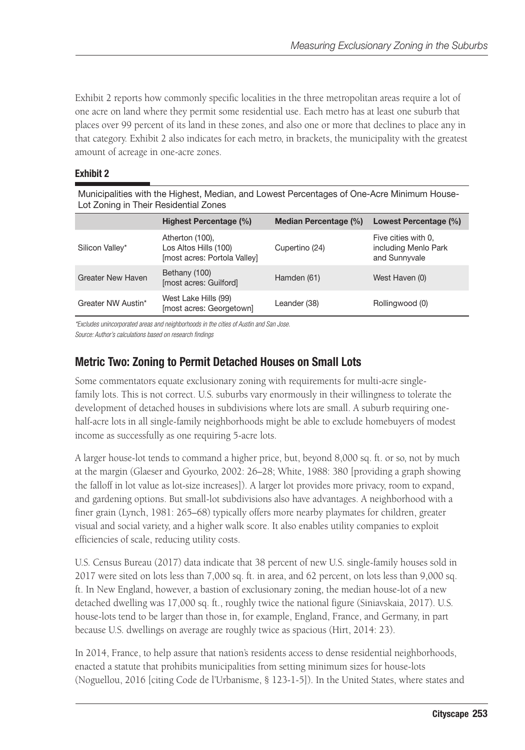Exhibit 2 reports how commonly specific localities in the three metropolitan areas require a lot of one acre on land where they permit some residential use. Each metro has at least one suburb that places over 99 percent of its land in these zones, and also one or more that declines to place any in that category. Exhibit 2 also indicates for each metro, in brackets, the municipality with the greatest amount of acreage in one-acre zones.

#### Exhibit 2

Municipalities with the Highest, Median, and Lowest Percentages of One-Acre Minimum House-Lot Zoning in Their Residential Zones

|                          | Highest Percentage (%)                                                   | Median Percentage (%) | Lowest Percentage (%)                                        |
|--------------------------|--------------------------------------------------------------------------|-----------------------|--------------------------------------------------------------|
| Silicon Valley*          | Atherton (100),<br>Los Altos Hills (100)<br>[most acres: Portola Valley] | Cupertino (24)        | Five cities with 0.<br>including Menlo Park<br>and Sunnyvale |
| <b>Greater New Haven</b> | Bethany (100)<br>[most acres: Guilford]                                  | Hamden (61)           | West Haven (0)                                               |
| Greater NW Austin*       | West Lake Hills (99)<br>[most acres: Georgetown]                         | Leander (38)          | Rollingwood (0)                                              |

*\*Excludes unincorporated areas and neighborhoods in the cities of Austin and San Jose. Source: Author's calculations based on research findings*

### Metric Two: Zoning to Permit Detached Houses on Small Lots

Some commentators equate exclusionary zoning with requirements for multi-acre singlefamily lots. This is not correct. U.S. suburbs vary enormously in their willingness to tolerate the development of detached houses in subdivisions where lots are small. A suburb requiring onehalf-acre lots in all single-family neighborhoods might be able to exclude homebuyers of modest income as successfully as one requiring 5-acre lots.

A larger house-lot tends to command a higher price, but, beyond 8,000 sq. ft. or so, not by much at the margin (Glaeser and Gyourko, 2002: 26–28; White, 1988: 380 [providing a graph showing the falloff in lot value as lot-size increases]). A larger lot provides more privacy, room to expand, and gardening options. But small-lot subdivisions also have advantages. A neighborhood with a finer grain (Lynch, 1981: 265–68) typically offers more nearby playmates for children, greater visual and social variety, and a higher walk score. It also enables utility companies to exploit efficiencies of scale, reducing utility costs.

U.S. Census Bureau (2017) data indicate that 38 percent of new U.S. single-family houses sold in 2017 were sited on lots less than 7,000 sq. ft. in area, and 62 percent, on lots less than 9,000 sq. ft. In New England, however, a bastion of exclusionary zoning, the median house-lot of a new detached dwelling was 17,000 sq. ft., roughly twice the national figure (Siniavskaia, 2017). U.S. house-lots tend to be larger than those in, for example, England, France, and Germany, in part because U.S. dwellings on average are roughly twice as spacious (Hirt, 2014: 23).

In 2014, France, to help assure that nation's residents access to dense residential neighborhoods, enacted a statute that prohibits municipalities from setting minimum sizes for house-lots (Noguellou, 2016 [citing Code de l'Urbanisme, § 123-1-5]). In the United States, where states and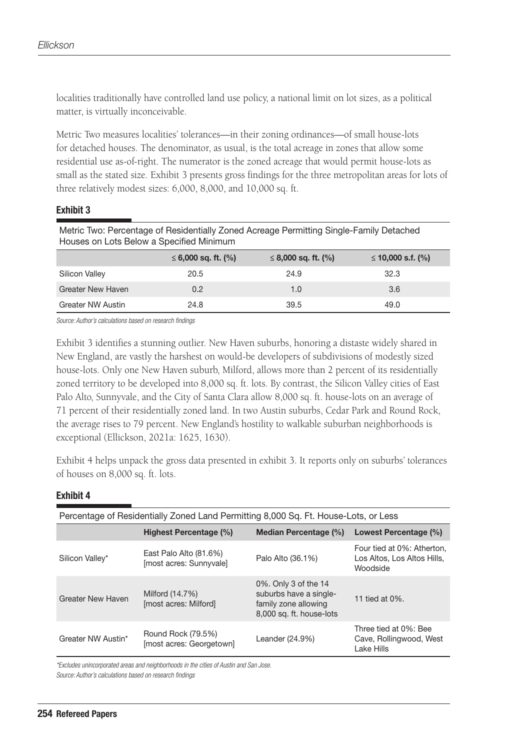localities traditionally have controlled land use policy, a national limit on lot sizes, as a political matter, is virtually inconceivable.

Metric Two measures localities' tolerances—in their zoning ordinances—of small house-lots for detached houses. The denominator, as usual, is the total acreage in zones that allow some residential use as-of-right. The numerator is the zoned acreage that would permit house-lots as small as the stated size. Exhibit 3 presents gross findings for the three metropolitan areas for lots of three relatively modest sizes: 6,000, 8,000, and 10,000 sq. ft.

#### Exhibit 3

| Metric Two: Percentage of Residentially Zoned Acreage Permitting Single-Family Detached<br>Houses on Lots Below a Specified Minimum |                          |                          |                    |  |
|-------------------------------------------------------------------------------------------------------------------------------------|--------------------------|--------------------------|--------------------|--|
|                                                                                                                                     | $\leq 6,000$ sq. ft. (%) | $\leq$ 8,000 sq. ft. (%) | ≤ 10,000 s.f. $(%$ |  |
| Silicon Valley                                                                                                                      | 20.5                     | 24.9                     | 32.3               |  |
| <b>Greater New Haven</b>                                                                                                            | 0.2                      | 1.0                      | 3.6                |  |
| Greater NW Austin                                                                                                                   | 24.8                     | 39.5                     | 49.0               |  |

*Source: Author's calculations based on research findings*

Exhibit 3 identifies a stunning outlier. New Haven suburbs, honoring a distaste widely shared in New England, are vastly the harshest on would-be developers of subdivisions of modestly sized house-lots. Only one New Haven suburb, Milford, allows more than 2 percent of its residentially zoned territory to be developed into 8,000 sq. ft. lots. By contrast, the Silicon Valley cities of East Palo Alto, Sunnyvale, and the City of Santa Clara allow 8,000 sq. ft. house-lots on an average of 71 percent of their residentially zoned land. In two Austin suburbs, Cedar Park and Round Rock, the average rises to 79 percent. New England's hostility to walkable suburban neighborhoods is exceptional (Ellickson, 2021a: 1625, 1630).

Exhibit 4 helps unpack the gross data presented in exhibit 3. It reports only on suburbs' tolerances of houses on 8,000 sq. ft. lots.

#### Exhibit 4

| Percentage of Residentially Zoned Land Permitting 8,000 Sq. Ft. House-Lots, or Less |                                                   |                                                                                                    |                                                                       |  |  |
|-------------------------------------------------------------------------------------|---------------------------------------------------|----------------------------------------------------------------------------------------------------|-----------------------------------------------------------------------|--|--|
|                                                                                     | Highest Percentage (%)                            | Median Percentage (%)                                                                              | Lowest Percentage (%)                                                 |  |  |
| Silicon Valley*                                                                     | East Palo Alto (81.6%)<br>[most acres: Sunnyvale] | Palo Alto (36.1%)                                                                                  | Four tied at 0%: Atherton,<br>Los Altos, Los Altos Hills.<br>Woodside |  |  |
| <b>Greater New Haven</b>                                                            | Milford (14.7%)<br>[most acres: Milford]          | 0%. Only 3 of the 14<br>suburbs have a single-<br>family zone allowing<br>8,000 sq. ft. house-lots | 11 tied at 0%.                                                        |  |  |
| Greater NW Austin*                                                                  | Round Rock (79.5%)<br>[most acres: Georgetown]    | Leander (24.9%)                                                                                    | Three tied at 0%: Bee<br>Cave, Rollingwood, West<br>Lake Hills        |  |  |

*\*Excludes unincorporated areas and neighborhoods in the cities of Austin and San Jose.*

*Source: Author's calculations based on research findings*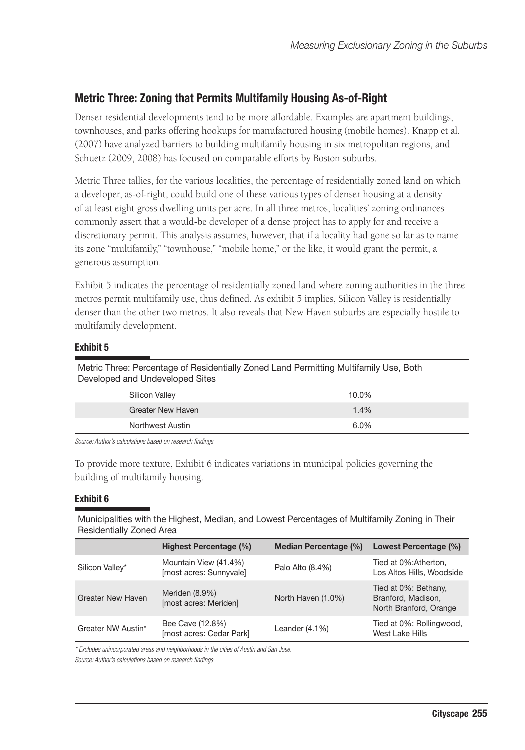### Metric Three: Zoning that Permits Multifamily Housing As-of-Right

Denser residential developments tend to be more affordable. Examples are apartment buildings, townhouses, and parks offering hookups for manufactured housing (mobile homes). Knapp et al. (2007) have analyzed barriers to building multifamily housing in six metropolitan regions, and Schuetz (2009, 2008) has focused on comparable efforts by Boston suburbs.

Metric Three tallies, for the various localities, the percentage of residentially zoned land on which a developer, as-of-right, could build one of these various types of denser housing at a density of at least eight gross dwelling units per acre. In all three metros, localities' zoning ordinances commonly assert that a would-be developer of a dense project has to apply for and receive a discretionary permit. This analysis assumes, however, that if a locality had gone so far as to name its zone "multifamily," "townhouse," "mobile home," or the like, it would grant the permit, a generous assumption.

Exhibit 5 indicates the percentage of residentially zoned land where zoning authorities in the three metros permit multifamily use, thus defined. As exhibit 5 implies, Silicon Valley is residentially denser than the other two metros. It also reveals that New Haven suburbs are especially hostile to multifamily development.

#### Exhibit 5

| Metric Three: Percentage of Residentially Zoned Land Permitting Multifamily Use, Both |
|---------------------------------------------------------------------------------------|
| Developed and Undeveloped Sites                                                       |

| Silicon Valley           | 10.0% |
|--------------------------|-------|
| <b>Greater New Haven</b> | 1.4%  |
| Northwest Austin         | 6.0%  |

*Source: Author's calculations based on research findings*

To provide more texture, Exhibit 6 indicates variations in municipal policies governing the building of multifamily housing.

#### Exhibit 6

Municipalities with the Highest, Median, and Lowest Percentages of Multifamily Zoning in Their Residentially Zoned Area

|                          | Highest Percentage (%)                           | Median Percentage (%) | Lowest Percentage (%)                                                |
|--------------------------|--------------------------------------------------|-----------------------|----------------------------------------------------------------------|
| Silicon Valley*          | Mountain View (41.4%)<br>[most acres: Sunnyvale] | Palo Alto (8.4%)      | Tied at 0%: Atherton.<br>Los Altos Hills, Woodside                   |
| <b>Greater New Haven</b> | Meriden (8.9%)<br>[most acres: Meriden]          | North Haven (1.0%)    | Tied at 0%: Bethany,<br>Branford, Madison,<br>North Branford, Orange |
| Greater NW Austin*       | Bee Cave (12.8%)<br>[most acres: Cedar Park]     | Leander $(4.1\%)$     | Tied at 0%: Rollingwood,<br>West Lake Hills                          |

*\* Excludes unincorporated areas and neighborhoods in the cities of Austin and San Jose. Source: Author's calculations based on research findings*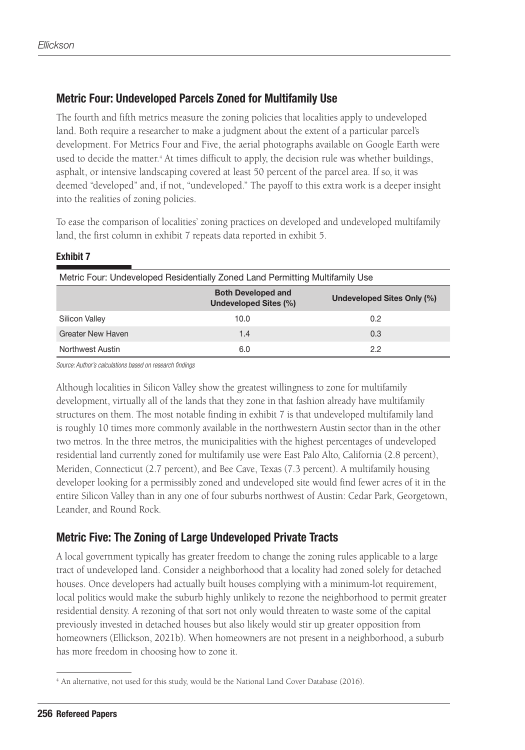### Metric Four: Undeveloped Parcels Zoned for Multifamily Use

The fourth and fifth metrics measure the zoning policies that localities apply to undeveloped land. Both require a researcher to make a judgment about the extent of a particular parcel's development. For Metrics Four and Five, the aerial photographs available on Google Earth were used to decide the matter.<sup>4</sup> At times difficult to apply, the decision rule was whether buildings, asphalt, or intensive landscaping covered at least 50 percent of the parcel area. If so, it was deemed "developed" and, if not, "undeveloped." The payoff to this extra work is a deeper insight into the realities of zoning policies.

To ease the comparison of localities' zoning practices on developed and undeveloped multifamily land, the first column in exhibit 7 repeats data reported in exhibit 5.

#### Exhibit 7

| Metric Four: Undeveloped Residentially Zoned Land Permitting Multifamily Use     |      |     |  |  |  |
|----------------------------------------------------------------------------------|------|-----|--|--|--|
| <b>Both Developed and</b><br>Undeveloped Sites Only (%)<br>Undeveloped Sites (%) |      |     |  |  |  |
| Silicon Valley                                                                   | 10.0 | 0.2 |  |  |  |
| <b>Greater New Haven</b>                                                         | 1.4  | 0.3 |  |  |  |
| Northwest Austin                                                                 | 6.0  | 2.2 |  |  |  |

*Source: Author's calculations based on research findings*

Although localities in Silicon Valley show the greatest willingness to zone for multifamily development, virtually all of the lands that they zone in that fashion already have multifamily structures on them. The most notable finding in exhibit 7 is that undeveloped multifamily land is roughly 10 times more commonly available in the northwestern Austin sector than in the other two metros. In the three metros, the municipalities with the highest percentages of undeveloped residential land currently zoned for multifamily use were East Palo Alto, California (2.8 percent), Meriden, Connecticut (2.7 percent), and Bee Cave, Texas (7.3 percent). A multifamily housing developer looking for a permissibly zoned and undeveloped site would find fewer acres of it in the entire Silicon Valley than in any one of four suburbs northwest of Austin: Cedar Park, Georgetown, Leander, and Round Rock.

### Metric Five: The Zoning of Large Undeveloped Private Tracts

A local government typically has greater freedom to change the zoning rules applicable to a large tract of undeveloped land. Consider a neighborhood that a locality had zoned solely for detached houses. Once developers had actually built houses complying with a minimum-lot requirement, local politics would make the suburb highly unlikely to rezone the neighborhood to permit greater residential density. A rezoning of that sort not only would threaten to waste some of the capital previously invested in detached houses but also likely would stir up greater opposition from homeowners (Ellickson, 2021b). When homeowners are not present in a neighborhood, a suburb has more freedom in choosing how to zone it.

<sup>4</sup> An alternative, not used for this study, would be the National Land Cover Database (2016).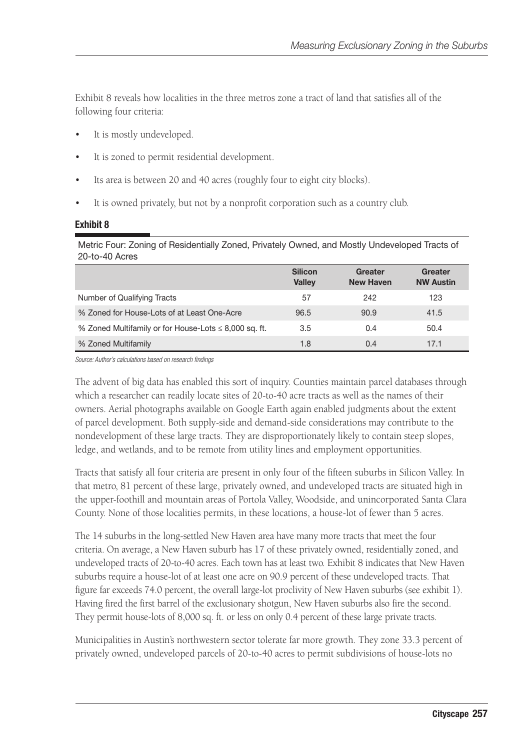Exhibit 8 reveals how localities in the three metros zone a tract of land that satisfies all of the following four criteria:

- It is mostly undeveloped.
- It is zoned to permit residential development.
- Its area is between 20 and 40 acres (roughly four to eight city blocks).
- It is owned privately, but not by a nonprofit corporation such as a country club.

#### Exhibit 8

Metric Four: Zoning of Residentially Zoned, Privately Owned, and Mostly Undeveloped Tracts of 20-to-40 Acres

|                                                            | <b>Silicon</b><br>Valley | Greater<br><b>New Haven</b> | Greater<br><b>NW Austin</b> |
|------------------------------------------------------------|--------------------------|-----------------------------|-----------------------------|
| Number of Qualifying Tracts                                | 57                       | 242                         | 123                         |
| % Zoned for House-Lots of at Least One-Acre                | 96.5                     | 90.9                        | 41.5                        |
| % Zoned Multifamily or for House-Lots $\leq$ 8,000 sq. ft. | 3.5                      | 0.4                         | 50.4                        |
| % Zoned Multifamily                                        | 1.8                      | 0.4                         | 17.1                        |

*Source: Author's calculations based on research findings*

The advent of big data has enabled this sort of inquiry. Counties maintain parcel databases through which a researcher can readily locate sites of 20-to-40 acre tracts as well as the names of their owners. Aerial photographs available on Google Earth again enabled judgments about the extent of parcel development. Both supply-side and demand-side considerations may contribute to the nondevelopment of these large tracts. They are disproportionately likely to contain steep slopes, ledge, and wetlands, and to be remote from utility lines and employment opportunities.

Tracts that satisfy all four criteria are present in only four of the fifteen suburbs in Silicon Valley. In that metro, 81 percent of these large, privately owned, and undeveloped tracts are situated high in the upper-foothill and mountain areas of Portola Valley, Woodside, and unincorporated Santa Clara County. None of those localities permits, in these locations, a house-lot of fewer than 5 acres.

The 14 suburbs in the long-settled New Haven area have many more tracts that meet the four criteria. On average, a New Haven suburb has 17 of these privately owned, residentially zoned, and undeveloped tracts of 20-to-40 acres. Each town has at least two. Exhibit 8 indicates that New Haven suburbs require a house-lot of at least one acre on 90.9 percent of these undeveloped tracts. That figure far exceeds 74.0 percent, the overall large-lot proclivity of New Haven suburbs (see exhibit 1). Having fired the first barrel of the exclusionary shotgun, New Haven suburbs also fire the second. They permit house-lots of 8,000 sq. ft. or less on only 0.4 percent of these large private tracts.

Municipalities in Austin's northwestern sector tolerate far more growth. They zone 33.3 percent of privately owned, undeveloped parcels of 20-to-40 acres to permit subdivisions of house-lots no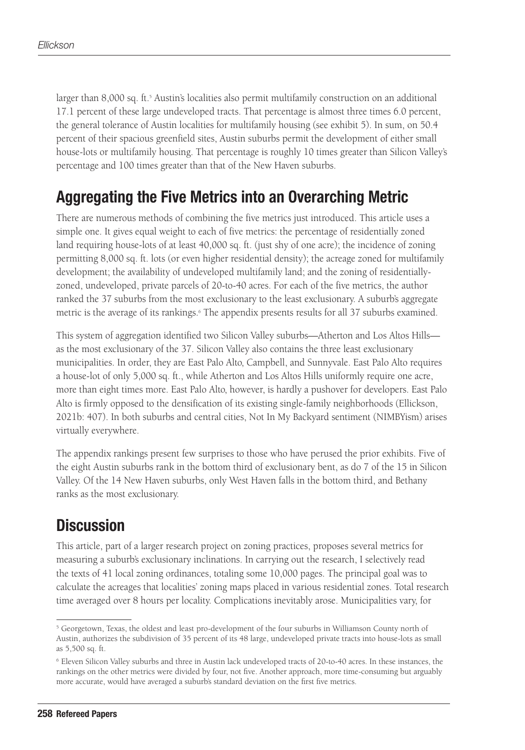larger than 8,000 sq. ft.<sup>5</sup> Austin's localities also permit multifamily construction on an additional 17.1 percent of these large undeveloped tracts. That percentage is almost three times 6.0 percent, the general tolerance of Austin localities for multifamily housing (see exhibit 5). In sum, on 50.4 percent of their spacious greenfield sites, Austin suburbs permit the development of either small house-lots or multifamily housing. That percentage is roughly 10 times greater than Silicon Valley's percentage and 100 times greater than that of the New Haven suburbs.

# Aggregating the Five Metrics into an Overarching Metric

There are numerous methods of combining the five metrics just introduced. This article uses a simple one. It gives equal weight to each of five metrics: the percentage of residentially zoned land requiring house-lots of at least 40,000 sq. ft. (just shy of one acre); the incidence of zoning permitting 8,000 sq. ft. lots (or even higher residential density); the acreage zoned for multifamily development; the availability of undeveloped multifamily land; and the zoning of residentiallyzoned, undeveloped, private parcels of 20-to-40 acres. For each of the five metrics, the author ranked the 37 suburbs from the most exclusionary to the least exclusionary. A suburb's aggregate metric is the average of its rankings.<sup>6</sup> The appendix presents results for all 37 suburbs examined.

This system of aggregation identified two Silicon Valley suburbs—Atherton and Los Altos Hills as the most exclusionary of the 37. Silicon Valley also contains the three least exclusionary municipalities. In order, they are East Palo Alto, Campbell, and Sunnyvale. East Palo Alto requires a house-lot of only 5,000 sq. ft., while Atherton and Los Altos Hills uniformly require one acre, more than eight times more. East Palo Alto, however, is hardly a pushover for developers. East Palo Alto is firmly opposed to the densification of its existing single-family neighborhoods (Ellickson, 2021b: 407). In both suburbs and central cities, Not In My Backyard sentiment (NIMBYism) arises virtually everywhere.

The appendix rankings present few surprises to those who have perused the prior exhibits. Five of the eight Austin suburbs rank in the bottom third of exclusionary bent, as do 7 of the 15 in Silicon Valley. Of the 14 New Haven suburbs, only West Haven falls in the bottom third, and Bethany ranks as the most exclusionary.

# **Discussion**

This article, part of a larger research project on zoning practices, proposes several metrics for measuring a suburb's exclusionary inclinations. In carrying out the research, I selectively read the texts of 41 local zoning ordinances, totaling some 10,000 pages. The principal goal was to calculate the acreages that localities' zoning maps placed in various residential zones. Total research time averaged over 8 hours per locality. Complications inevitably arose. Municipalities vary, for

<sup>5</sup> Georgetown, Texas, the oldest and least pro-development of the four suburbs in Williamson County north of Austin, authorizes the subdivision of 35 percent of its 48 large, undeveloped private tracts into house-lots as small as 5,500 sq. ft.

<sup>6</sup> Eleven Silicon Valley suburbs and three in Austin lack undeveloped tracts of 20-to-40 acres. In these instances, the rankings on the other metrics were divided by four, not five. Another approach, more time-consuming but arguably more accurate, would have averaged a suburb's standard deviation on the first five metrics.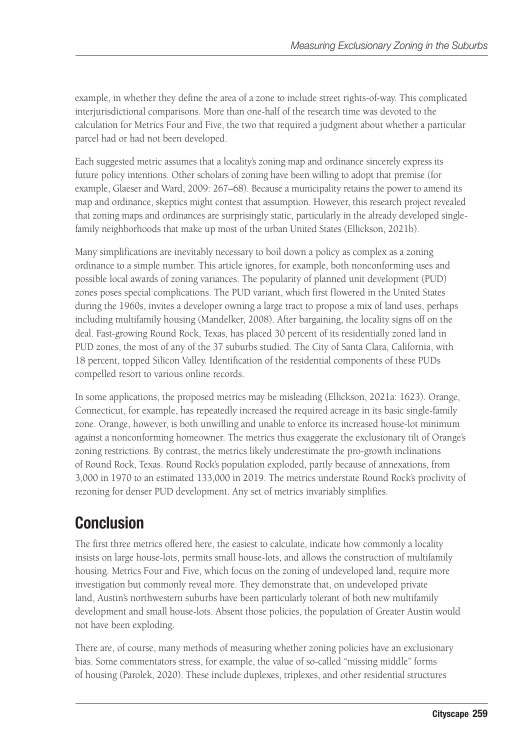example, in whether they define the area of a zone to include street rights-of-way. This complicated interjurisdictional comparisons. More than one-half of the research time was devoted to the calculation for Metrics Four and Five, the two that required a judgment about whether a particular parcel had or had not been developed.

Each suggested metric assumes that a locality's zoning map and ordinance sincerely express its future policy intentions. Other scholars of zoning have been willing to adopt that premise (for example, Glaeser and Ward, 2009: 267–68). Because a municipality retains the power to amend its map and ordinance, skeptics might contest that assumption. However, this research project revealed that zoning maps and ordinances are surprisingly static, particularly in the already developed singlefamily neighborhoods that make up most of the urban United States (Ellickson, 2021b).

Many simplifications are inevitably necessary to boil down a policy as complex as a zoning ordinance to a simple number. This article ignores, for example, both nonconforming uses and possible local awards of zoning variances. The popularity of planned unit development (PUD) zones poses special complications. The PUD variant, which first flowered in the United States during the 1960s, invites a developer owning a large tract to propose a mix of land uses, perhaps including multifamily housing (Mandelker, 2008). After bargaining, the locality signs off on the deal. Fast-growing Round Rock, Texas, has placed 30 percent of its residentially zoned land in PUD zones, the most of any of the 37 suburbs studied. The City of Santa Clara, California, with 18 percent, topped Silicon Valley. Identification of the residential components of these PUDs compelled resort to various online records.

In some applications, the proposed metrics may be misleading (Ellickson, 2021a: 1623). Orange, Connecticut, for example, has repeatedly increased the required acreage in its basic single-family zone. Orange, however, is both unwilling and unable to enforce its increased house-lot minimum against a nonconforming homeowner. The metrics thus exaggerate the exclusionary tilt of Orange's zoning restrictions. By contrast, the metrics likely underestimate the pro-growth inclinations of Round Rock, Texas. Round Rock's population exploded, partly because of annexations, from 3,000 in 1970 to an estimated 133,000 in 2019. The metrics understate Round Rock's proclivity of rezoning for denser PUD development. Any set of metrics invariably simplifies.

# Conclusion

The first three metrics offered here, the easiest to calculate, indicate how commonly a locality insists on large house-lots, permits small house-lots, and allows the construction of multifamily housing. Metrics Four and Five, which focus on the zoning of undeveloped land, require more investigation but commonly reveal more. They demonstrate that, on undeveloped private land, Austin's northwestern suburbs have been particularly tolerant of both new multifamily development and small house-lots. Absent those policies, the population of Greater Austin would not have been exploding.

There are, of course, many methods of measuring whether zoning policies have an exclusionary bias. Some commentators stress, for example, the value of so-called "missing middle" forms of housing (Parolek, 2020). These include duplexes, triplexes, and other residential structures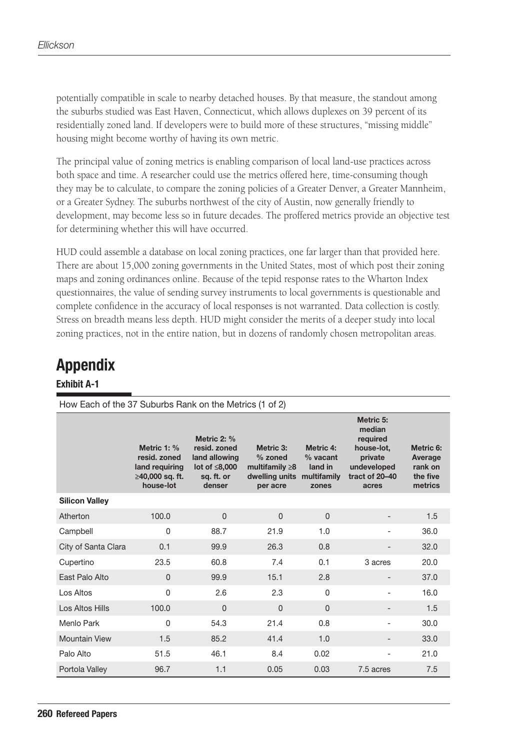potentially compatible in scale to nearby detached houses. By that measure, the standout among the suburbs studied was East Haven, Connecticut, which allows duplexes on 39 percent of its residentially zoned land. If developers were to build more of these structures, "missing middle" housing might become worthy of having its own metric.

The principal value of zoning metrics is enabling comparison of local land-use practices across both space and time. A researcher could use the metrics offered here, time-consuming though they may be to calculate, to compare the zoning policies of a Greater Denver, a Greater Mannheim, or a Greater Sydney. The suburbs northwest of the city of Austin, now generally friendly to development, may become less so in future decades. The proffered metrics provide an objective test for determining whether this will have occurred.

HUD could assemble a database on local zoning practices, one far larger than that provided here. There are about 15,000 zoning governments in the United States, most of which post their zoning maps and zoning ordinances online. Because of the tepid response rates to the Wharton Index questionnaires, the value of sending survey instruments to local governments is questionable and complete confidence in the accuracy of local responses is not warranted. Data collection is costly. Stress on breadth means less depth. HUD might consider the merits of a deeper study into local zoning practices, not in the entire nation, but in dozens of randomly chosen metropolitan areas.

# Appendix

#### Exhibit A-1

| How Each of the 37 Suburbs Rank on the Metrics (1 of 2) |                                                                               |                                                                                         |                                                                            |                                                            |                                                                                                    |                                                        |
|---------------------------------------------------------|-------------------------------------------------------------------------------|-----------------------------------------------------------------------------------------|----------------------------------------------------------------------------|------------------------------------------------------------|----------------------------------------------------------------------------------------------------|--------------------------------------------------------|
|                                                         | Metric 1: %<br>resid. zoned<br>land requiring<br>≥40,000 sq. ft.<br>house-lot | Metric $2: %$<br>resid. zoned<br>land allowing<br>lot of ≤8,000<br>sq. ft. or<br>denser | Metric 3:<br>% zoned<br>multifamily $\geq 8$<br>dwelling units<br>per acre | Metric 4:<br>$%$ vacant<br>land in<br>multifamily<br>zones | Metric 5:<br>median<br>required<br>house-lot.<br>private<br>undeveloped<br>tract of 20-40<br>acres | Metric 6:<br>Average<br>rank on<br>the five<br>metrics |
| <b>Silicon Valley</b>                                   |                                                                               |                                                                                         |                                                                            |                                                            |                                                                                                    |                                                        |
| Atherton                                                | 100.0                                                                         | 0                                                                                       | $\Omega$                                                                   | $\Omega$                                                   |                                                                                                    | 1.5                                                    |
| Campbell                                                | $\Omega$                                                                      | 88.7                                                                                    | 21.9                                                                       | 1.0                                                        |                                                                                                    | 36.0                                                   |
| City of Santa Clara                                     | 0.1                                                                           | 99.9                                                                                    | 26.3                                                                       | 0.8                                                        |                                                                                                    | 32.0                                                   |
| Cupertino                                               | 23.5                                                                          | 60.8                                                                                    | 7.4                                                                        | 0.1                                                        | 3 acres                                                                                            | 20.0                                                   |
| Fast Palo Alto                                          | $\Omega$                                                                      | 99.9                                                                                    | 15.1                                                                       | 2.8                                                        | $\qquad \qquad -$                                                                                  | 37.0                                                   |
| Los Altos                                               | 0                                                                             | 2.6                                                                                     | 2.3                                                                        | $\Omega$                                                   | L,                                                                                                 | 16.0                                                   |
| Los Altos Hills                                         | 100.0                                                                         | 0                                                                                       | $\Omega$                                                                   | $\Omega$                                                   |                                                                                                    | 1.5                                                    |
| Menlo Park                                              | 0                                                                             | 54.3                                                                                    | 21.4                                                                       | 0.8                                                        | L.                                                                                                 | 30.0                                                   |
| <b>Mountain View</b>                                    | 1.5                                                                           | 85.2                                                                                    | 41.4                                                                       | 1.0                                                        |                                                                                                    | 33.0                                                   |
| Palo Alto                                               | 51.5                                                                          | 46.1                                                                                    | 8.4                                                                        | 0.02                                                       |                                                                                                    | 21.0                                                   |
| Portola Valley                                          | 96.7                                                                          | 1.1                                                                                     | 0.05                                                                       | 0.03                                                       | 7.5 acres                                                                                          | 7.5                                                    |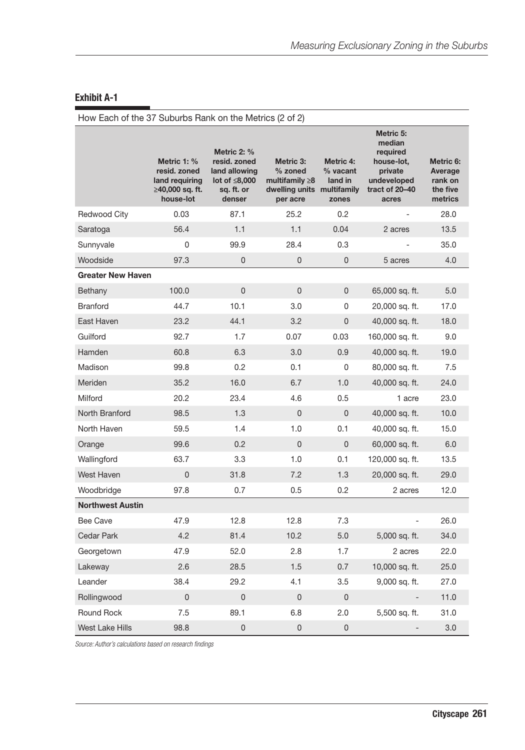### Exhibit A-1

| How Each of the 37 Suburbs Rank on the Metrics (2 of 2) |                                                                               |                                                                                             |                                                                              |                                                            |                                                                                                    |                                                        |
|---------------------------------------------------------|-------------------------------------------------------------------------------|---------------------------------------------------------------------------------------------|------------------------------------------------------------------------------|------------------------------------------------------------|----------------------------------------------------------------------------------------------------|--------------------------------------------------------|
|                                                         | Metric 1: %<br>resid, zoned<br>land requiring<br>≥40,000 sq. ft.<br>house-lot | Metric 2: %<br>resid. zoned<br>land allowing<br>lot of $\leq 8,000$<br>sq. ft. or<br>denser | Metric 3:<br>$%$ zoned<br>multifamily $\geq 8$<br>dwelling units<br>per acre | Metric 4:<br>$%$ vacant<br>land in<br>multifamily<br>zones | Metric 5:<br>median<br>required<br>house-lot,<br>private<br>undeveloped<br>tract of 20-40<br>acres | Metric 6:<br>Average<br>rank on<br>the five<br>metrics |
| <b>Redwood City</b>                                     | 0.03                                                                          | 87.1                                                                                        | 25.2                                                                         | 0.2                                                        | $\overline{a}$                                                                                     | 28.0                                                   |
| Saratoga                                                | 56.4                                                                          | 1.1                                                                                         | 1.1                                                                          | 0.04                                                       | 2 acres                                                                                            | 13.5                                                   |
| Sunnyvale                                               | 0                                                                             | 99.9                                                                                        | 28.4                                                                         | 0.3                                                        |                                                                                                    | 35.0                                                   |
| Woodside                                                | 97.3                                                                          | $\mathbf{0}$                                                                                | $\overline{0}$                                                               | $\overline{0}$                                             | 5 acres                                                                                            | 4.0                                                    |
| <b>Greater New Haven</b>                                |                                                                               |                                                                                             |                                                                              |                                                            |                                                                                                    |                                                        |
| Bethany                                                 | 100.0                                                                         | 0                                                                                           | 0                                                                            | $\mathbf 0$                                                | 65,000 sq. ft.                                                                                     | 5.0                                                    |
| <b>Branford</b>                                         | 44.7                                                                          | 10.1                                                                                        | 3.0                                                                          | 0                                                          | 20,000 sq. ft.                                                                                     | 17.0                                                   |
| East Haven                                              | 23.2                                                                          | 44.1                                                                                        | 3.2                                                                          | $\overline{0}$                                             | 40,000 sq. ft.                                                                                     | 18.0                                                   |
| Guilford                                                | 92.7                                                                          | 1.7                                                                                         | 0.07                                                                         | 0.03                                                       | 160,000 sq. ft.                                                                                    | 9.0                                                    |
| Hamden                                                  | 60.8                                                                          | 6.3                                                                                         | 3.0                                                                          | 0.9                                                        | 40,000 sq. ft.                                                                                     | 19.0                                                   |
| Madison                                                 | 99.8                                                                          | 0.2                                                                                         | 0.1                                                                          | 0                                                          | 80,000 sq. ft.                                                                                     | 7.5                                                    |
| Meriden                                                 | 35.2                                                                          | 16.0                                                                                        | 6.7                                                                          | 1.0                                                        | 40,000 sq. ft.                                                                                     | 24.0                                                   |
| Milford                                                 | 20.2                                                                          | 23.4                                                                                        | 4.6                                                                          | 0.5                                                        | 1 acre                                                                                             | 23.0                                                   |
| North Branford                                          | 98.5                                                                          | 1.3                                                                                         | $\overline{0}$                                                               | $\overline{0}$                                             | 40,000 sq. ft.                                                                                     | 10.0                                                   |
| North Haven                                             | 59.5                                                                          | 1.4                                                                                         | 1.0                                                                          | 0.1                                                        | 40,000 sq. ft.                                                                                     | 15.0                                                   |
| Orange                                                  | 99.6                                                                          | 0.2                                                                                         | $\overline{0}$                                                               | $\mathbf{0}$                                               | 60,000 sq. ft.                                                                                     | 6.0                                                    |
| Wallingford                                             | 63.7                                                                          | 3.3                                                                                         | 1.0                                                                          | 0.1                                                        | 120,000 sq. ft.                                                                                    | 13.5                                                   |
| West Haven                                              | 0                                                                             | 31.8                                                                                        | 7.2                                                                          | 1.3                                                        | 20,000 sq. ft.                                                                                     | 29.0                                                   |
| Woodbridge                                              | 97.8                                                                          | 0.7                                                                                         | 0.5                                                                          | 0.2                                                        | 2 acres                                                                                            | 12.0                                                   |
| <b>Northwest Austin</b>                                 |                                                                               |                                                                                             |                                                                              |                                                            |                                                                                                    |                                                        |
| Bee Cave                                                | 47.9                                                                          | 12.8                                                                                        | 12.8                                                                         | 7.3                                                        |                                                                                                    | 26.0                                                   |
| <b>Cedar Park</b>                                       | 4.2                                                                           | 81.4                                                                                        | 10.2                                                                         | 5.0                                                        | 5,000 sq. ft.                                                                                      | 34.0                                                   |
| Georgetown                                              | 47.9                                                                          | 52.0                                                                                        | 2.8                                                                          | 1.7                                                        | 2 acres                                                                                            | 22.0                                                   |
| Lakeway                                                 | 2.6                                                                           | 28.5                                                                                        | 1.5                                                                          | 0.7                                                        | 10,000 sq. ft.                                                                                     | 25.0                                                   |
| Leander                                                 | 38.4                                                                          | 29.2                                                                                        | 4.1                                                                          | 3.5                                                        | 9,000 sq. ft.                                                                                      | 27.0                                                   |
| Rollingwood                                             | 0                                                                             | 0                                                                                           | 0                                                                            | $\pmb{0}$                                                  |                                                                                                    | 11.0                                                   |
| <b>Round Rock</b>                                       | 7.5                                                                           | 89.1                                                                                        | 6.8                                                                          | 2.0                                                        | 5,500 sq. ft.                                                                                      | 31.0                                                   |
| West Lake Hills                                         | 98.8                                                                          | 0                                                                                           | $\overline{0}$                                                               | 0                                                          |                                                                                                    | 3.0                                                    |

*Source: Author's calculations based on research findings*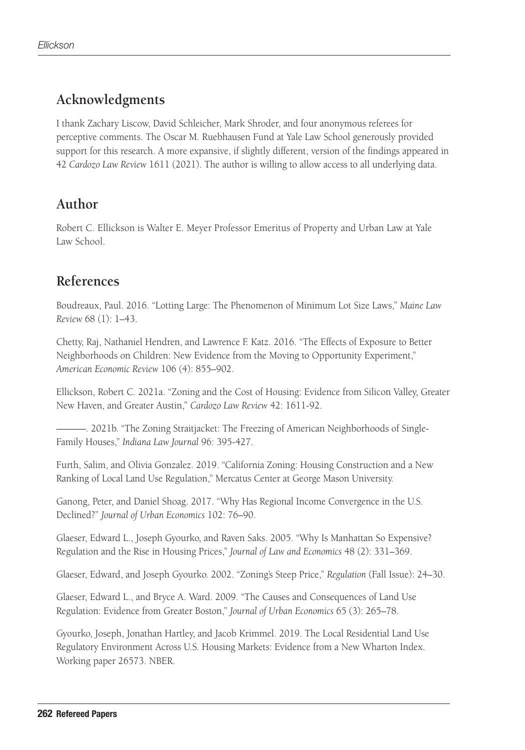# **Acknowledgments**

I thank Zachary Liscow, David Schleicher, Mark Shroder, and four anonymous referees for perceptive comments. The Oscar M. Ruebhausen Fund at Yale Law School generously provided support for this research. A more expansive, if slightly different, version of the findings appeared in 42 *Cardozo Law Review* 1611 (2021). The author is willing to allow access to all underlying data.

## **Author**

Robert C. Ellickson is Walter E. Meyer Professor Emeritus of Property and Urban Law at Yale Law School.

# **References**

Boudreaux, Paul. 2016. "Lotting Large: The Phenomenon of Minimum Lot Size Laws," *Maine Law Review* 68 (1): 1–43.

Chetty, Raj, Nathaniel Hendren, and Lawrence F. Katz. 2016. "The Effects of Exposure to Better Neighborhoods on Children: New Evidence from the Moving to Opportunity Experiment," *American Economic Review* 106 (4): 855–902.

Ellickson, Robert C. 2021a. "Zoning and the Cost of Housing: Evidence from Silicon Valley, Greater New Haven, and Greater Austin," *Cardozo Law Review* 42: 1611-92.

———. 2021b. "The Zoning Straitjacket: The Freezing of American Neighborhoods of Single-Family Houses," *Indiana Law Journal* 96: 395-427.

Furth, Salim, and Olivia Gonzalez. 2019. "California Zoning: Housing Construction and a New Ranking of Local Land Use Regulation," Mercatus Center at George Mason University.

Ganong, Peter, and Daniel Shoag. 2017. "Why Has Regional Income Convergence in the U.S. Declined?" *Journal of Urban Economics* 102: 76–90.

Glaeser, Edward L., Joseph Gyourko, and Raven Saks. 2005. "Why Is Manhattan So Expensive? Regulation and the Rise in Housing Prices," *Journal of Law and Economics* 48 (2): 331–369.

Glaeser, Edward, and Joseph Gyourko. 2002. "Zoning's Steep Price," *Regulation* (Fall Issue): 24–30.

Glaeser, Edward L., and Bryce A. Ward. 2009. "The Causes and Consequences of Land Use Regulation: Evidence from Greater Boston," *Journal of Urban Economics* 65 (3): 265–78.

Gyourko, Joseph, Jonathan Hartley, and Jacob Krimmel. 2019. The Local Residential Land Use Regulatory Environment Across U.S. Housing Markets: Evidence from a New Wharton Index. Working paper 26573. NBER.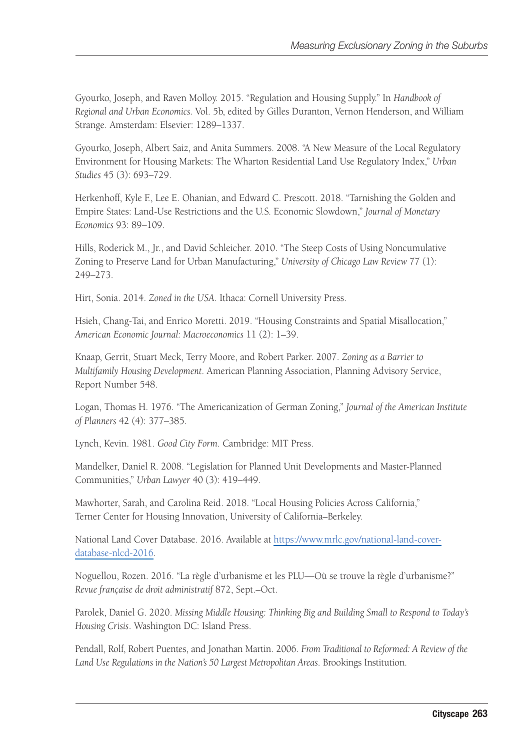Gyourko, Joseph, and Raven Molloy. 2015. "Regulation and Housing Supply." In *Handbook of Regional and Urban Economics.* Vol. 5b, edited by Gilles Duranton, Vernon Henderson, and William Strange. Amsterdam: Elsevier: 1289–1337.

Gyourko, Joseph, Albert Saiz, and Anita Summers. 2008. "A New Measure of the Local Regulatory Environment for Housing Markets: The Wharton Residential Land Use Regulatory Index," *Urban Studies* 45 (3): 693–729.

Herkenhoff, Kyle F., Lee E. Ohanian, and Edward C. Prescott. 2018. "Tarnishing the Golden and Empire States: Land-Use Restrictions and the U.S. Economic Slowdown," *Journal of Monetary Economics* 93: 89–109.

Hills, Roderick M., Jr., and David Schleicher. 2010. "The Steep Costs of Using Noncumulative Zoning to Preserve Land for Urban Manufacturing," *University of Chicago Law Review* 77 (1): 249–273.

Hirt, Sonia. 2014. *Zoned in the USA*. Ithaca: Cornell University Press.

Hsieh, Chang-Tai, and Enrico Moretti. 2019. "Housing Constraints and Spatial Misallocation," *American Economic Journal: Macroeconomics* 11 (2): 1–39.

Knaap, Gerrit, Stuart Meck, Terry Moore, and Robert Parker. 2007. *Zoning as a Barrier to Multifamily Housing Development*. American Planning Association, Planning Advisory Service, Report Number 548.

Logan, Thomas H. 1976. "The Americanization of German Zoning," *Journal of the American Institute of Planners* 42 (4): 377–385.

Lynch, Kevin. 1981. *Good City Form*. Cambridge: MIT Press.

Mandelker, Daniel R. 2008. "Legislation for Planned Unit Developments and Master-Planned Communities," *Urban Lawyer* 40 (3): 419–449.

Mawhorter, Sarah, and Carolina Reid. 2018. "Local Housing Policies Across California," Terner Center for Housing Innovation, University of California–Berkeley.

National Land Cover Database. 2016. Available at [https://www.mrlc.gov/national-land-cover](https://www.mrlc.gov/national-land-cover-database-nlcd-2016)[database-nlcd-2016](https://www.mrlc.gov/national-land-cover-database-nlcd-2016).

Noguellou, Rozen. 2016. "La règle d'urbanisme et les PLU—Où se trouve la règle d'urbanisme?" *Revue française de droit administratif* 872, Sept.–Oct.

Parolek, Daniel G. 2020. *Missing Middle Housing: Thinking Big and Building Small to Respond to Today's Housing Crisis*. Washington DC: Island Press.

Pendall, Rolf, Robert Puentes, and Jonathan Martin. 2006. *From Traditional to Reformed: A Review of the Land Use Regulations in the Nation's 50 Largest Metropolitan Areas*. Brookings Institution.